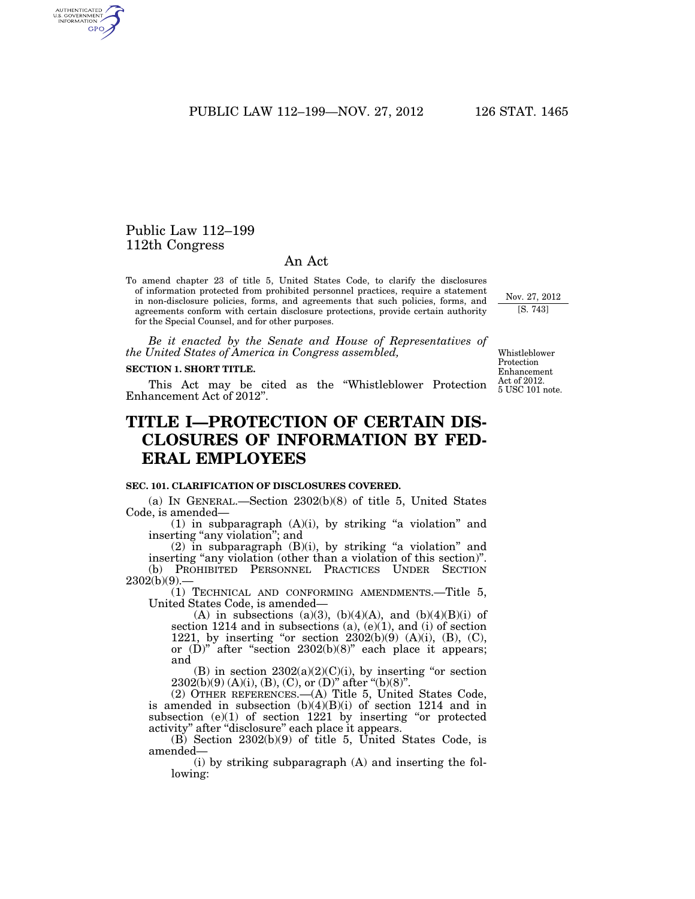PUBLIC LAW 112–199—NOV. 27, 2012 126 STAT. 1465

## Public Law 112–199 112th Congress

## An Act

To amend chapter 23 of title 5, United States Code, to clarify the disclosures of information protected from prohibited personnel practices, require a statement in non-disclosure policies, forms, and agreements that such policies, forms, and agreements conform with certain disclosure protections, provide certain authority for the Special Counsel, and for other purposes.

*Be it enacted by the Senate and House of Representatives of the United States of America in Congress assembled,* 

#### **SECTION 1. SHORT TITLE.**

This Act may be cited as the ''Whistleblower Protection Enhancement Act of 2012''.

# **TITLE I—PROTECTION OF CERTAIN DIS-CLOSURES OF INFORMATION BY FED-ERAL EMPLOYEES**

## **SEC. 101. CLARIFICATION OF DISCLOSURES COVERED.**

(a) IN GENERAL.—Section 2302(b)(8) of title 5, United States Code, is amended—

(1) in subparagraph  $(A)(i)$ , by striking "a violation" and inserting "any violation"; and

 $(2)$  in subparagraph  $(B)(i)$ , by striking "a violation" and inserting "any violation (other than a violation of this section)". (b) PROHIBITED PERSONNEL PRACTICES UNDER SECTION  $2302(b)(9)$ .

(1) TECHNICAL AND CONFORMING AMENDMENTS.—Title 5, United States Code, is amended—

(A) in subsections (a)(3), (b)(4)(A), and (b)(4)(B)(i) of section 1214 and in subsections (a),  $(e)(1)$ , and (i) of section 1221, by inserting "or section  $2302(b)(9)$  (A)(i), (B), (C), or  $(D)$ " after "section 2302 $(b)(8)$ " each place it appears; and

(B) in section  $2302(a)(2)(C)(i)$ , by inserting "or section  $2302(b)(9)$  (A)(i), (B), (C), or (D)" after "(b)(8)".

(2) OTHER REFERENCES.—(A) Title 5, United States Code, is amended in subsection (b)(4)(B)(i) of section 1214 and in subsection  $(e)(1)$  of section 1221 by inserting "or protected activity" after "disclosure" each place it appears.

(B) Section 2302(b)(9) of title 5, United States Code, is amended—

(i) by striking subparagraph (A) and inserting the following:

Whistleblower Protection Enhancement Act of 2012. 5 USC 101 note.

Nov. 27, 2012 [S. 743]

AUTHENTICATED<br>U.S. GOVERNMENT<br>INFORMATION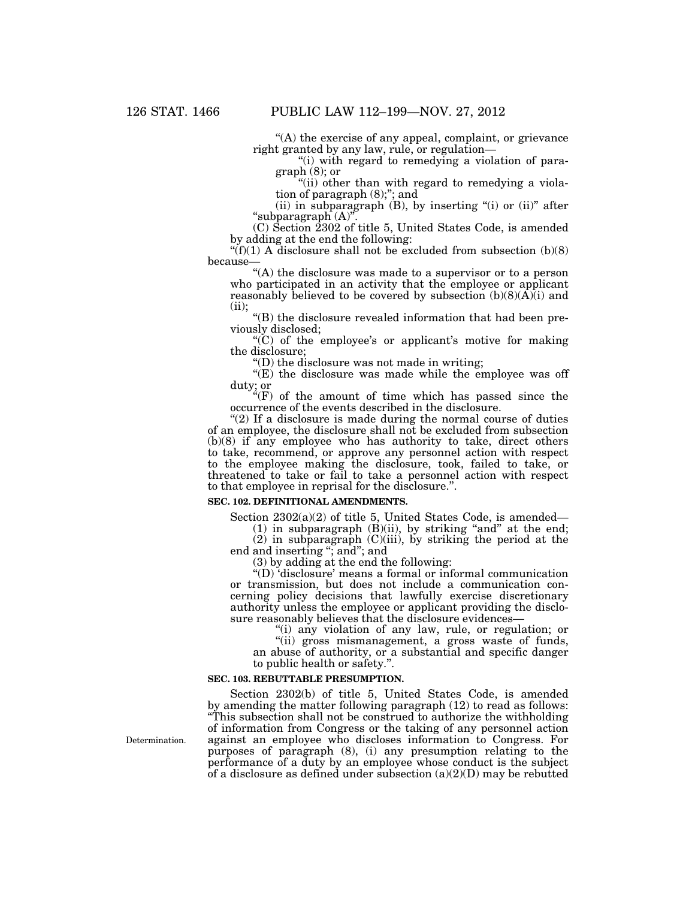"(A) the exercise of any appeal, complaint, or grievance right granted by any law, rule, or regulation—

''(i) with regard to remedying a violation of paragraph (8); or

"(ii) other than with regard to remedying a violation of paragraph (8);''; and

(ii) in subparagraph  $(B)$ , by inserting "(i) or  $(ii)$ " after ''subparagraph (A)''.

(C) Section 2302 of title 5, United States Code, is amended by adding at the end the following:

" $(f)(1)$  A disclosure shall not be excluded from subsection  $(b)(8)$ because—

''(A) the disclosure was made to a supervisor or to a person who participated in an activity that the employee or applicant reasonably believed to be covered by subsection  $(b)(8)(\vec{A})(i)$  and (ii);

''(B) the disclosure revealed information that had been previously disclosed;

" $(C)$  of the employee's or applicant's motive for making the disclosure;

 $'(D)$  the disclosure was not made in writing;

''(E) the disclosure was made while the employee was off duty; or

 $f(F)$  of the amount of time which has passed since the occurrence of the events described in the disclosure.

" $(2)$  If a disclosure is made during the normal course of duties" of an employee, the disclosure shall not be excluded from subsection (b)(8) if any employee who has authority to take, direct others to take, recommend, or approve any personnel action with respect to the employee making the disclosure, took, failed to take, or threatened to take or fail to take a personnel action with respect to that employee in reprisal for the disclosure.''.

#### **SEC. 102. DEFINITIONAL AMENDMENTS.**

Section 2302(a)(2) of title 5, United States Code, is amended—

 $(1)$  in subparagraph  $(B)(ii)$ , by striking "and" at the end;

(2) in subparagraph (C)(iii), by striking the period at the end and inserting ''; and''; and

(3) by adding at the end the following:

''(D) 'disclosure' means a formal or informal communication or transmission, but does not include a communication concerning policy decisions that lawfully exercise discretionary authority unless the employee or applicant providing the disclosure reasonably believes that the disclosure evidences—

"(i) any violation of any law, rule, or regulation; or

''(ii) gross mismanagement, a gross waste of funds, an abuse of authority, or a substantial and specific danger to public health or safety.''.

## **SEC. 103. REBUTTABLE PRESUMPTION.**

Section 2302(b) of title 5, United States Code, is amended by amending the matter following paragraph (12) to read as follows: ''This subsection shall not be construed to authorize the withholding of information from Congress or the taking of any personnel action against an employee who discloses information to Congress. For purposes of paragraph (8), (i) any presumption relating to the performance of a duty by an employee whose conduct is the subject of a disclosure as defined under subsection  $(a)(2)(D)$  may be rebutted

Determination.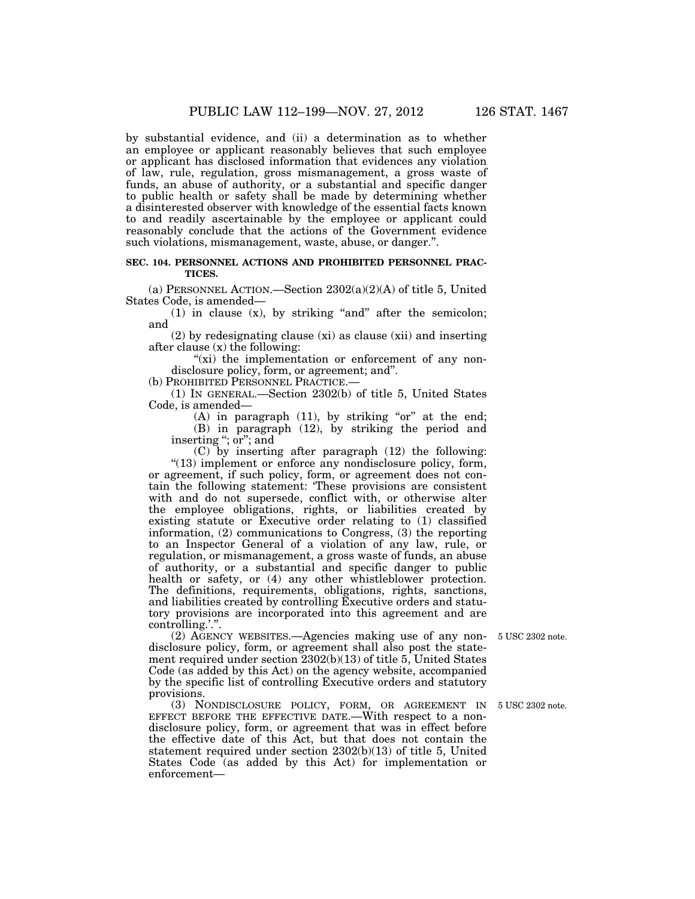by substantial evidence, and (ii) a determination as to whether an employee or applicant reasonably believes that such employee or applicant has disclosed information that evidences any violation of law, rule, regulation, gross mismanagement, a gross waste of funds, an abuse of authority, or a substantial and specific danger to public health or safety shall be made by determining whether a disinterested observer with knowledge of the essential facts known to and readily ascertainable by the employee or applicant could reasonably conclude that the actions of the Government evidence such violations, mismanagement, waste, abuse, or danger.''.

## **SEC. 104. PERSONNEL ACTIONS AND PROHIBITED PERSONNEL PRAC-TICES.**

(a) PERSONNEL ACTION.—Section  $2302(a)(2)(A)$  of title 5, United States Code, is amended—

 $(1)$  in clause  $(x)$ , by striking "and" after the semicolon; and

(2) by redesignating clause (xi) as clause (xii) and inserting after clause (x) the following:

"(xi) the implementation or enforcement of any nondisclosure policy, form, or agreement; and''.

(b) PROHIBITED PERSONNEL PRACTICE.—

(1) IN GENERAL.—Section 2302(b) of title 5, United States Code, is amended—

(A) in paragraph  $(11)$ , by striking "or" at the end; (B) in paragraph (12), by striking the period and inserting "; or"; and

(C) by inserting after paragraph (12) the following: ''(13) implement or enforce any nondisclosure policy, form, or agreement, if such policy, form, or agreement does not contain the following statement: 'These provisions are consistent with and do not supersede, conflict with, or otherwise alter the employee obligations, rights, or liabilities created by existing statute or Executive order relating to (1) classified information, (2) communications to Congress, (3) the reporting to an Inspector General of a violation of any law, rule, or regulation, or mismanagement, a gross waste of funds, an abuse of authority, or a substantial and specific danger to public health or safety, or  $(4)$  any other whistleblower protection. The definitions, requirements, obligations, rights, sanctions, and liabilities created by controlling Executive orders and statutory provisions are incorporated into this agreement and are controlling.'.''.

(2) AGENCY WEBSITES.—Agencies making use of any nondisclosure policy, form, or agreement shall also post the statement required under section 2302(b)(13) of title 5, United States Code (as added by this Act) on the agency website, accompanied by the specific list of controlling Executive orders and statutory provisions.

(3) NONDISCLOSURE POLICY, FORM, OR AGREEMENT IN EFFECT BEFORE THE EFFECTIVE DATE.—With respect to a nondisclosure policy, form, or agreement that was in effect before the effective date of this Act, but that does not contain the statement required under section 2302(b)(13) of title 5, United States Code (as added by this Act) for implementation or enforcement—

5 USC 2302 note.

5 USC 2302 note.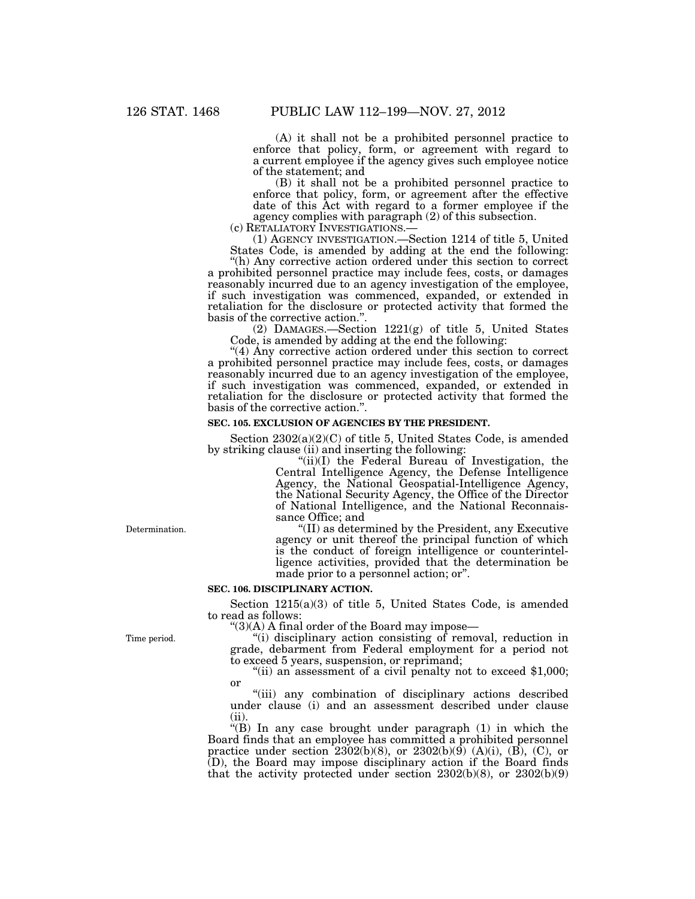(A) it shall not be a prohibited personnel practice to enforce that policy, form, or agreement with regard to a current employee if the agency gives such employee notice of the statement; and

(B) it shall not be a prohibited personnel practice to enforce that policy, form, or agreement after the effective date of this Act with regard to a former employee if the agency complies with paragraph (2) of this subsection.

(c) RETALIATORY INVESTIGATIONS.— (1) AGENCY INVESTIGATION.—Section 1214 of title 5, United States Code, is amended by adding at the end the following:

''(h) Any corrective action ordered under this section to correct a prohibited personnel practice may include fees, costs, or damages reasonably incurred due to an agency investigation of the employee, if such investigation was commenced, expanded, or extended in retaliation for the disclosure or protected activity that formed the basis of the corrective action.''.

(2) DAMAGES.—Section 1221(g) of title 5, United States Code, is amended by adding at the end the following:

"(4) Any corrective action ordered under this section to correct a prohibited personnel practice may include fees, costs, or damages reasonably incurred due to an agency investigation of the employee, if such investigation was commenced, expanded, or extended in retaliation for the disclosure or protected activity that formed the basis of the corrective action.''.

#### **SEC. 105. EXCLUSION OF AGENCIES BY THE PRESIDENT.**

Section 2302(a)(2)(C) of title 5, United States Code, is amended by striking clause (ii) and inserting the following:

"(ii)(I) the Federal Bureau of Investigation, the Central Intelligence Agency, the Defense Intelligence Agency, the National Geospatial-Intelligence Agency, the National Security Agency, the Office of the Director of National Intelligence, and the National Reconnaissance Office; and

''(II) as determined by the President, any Executive agency or unit thereof the principal function of which is the conduct of foreign intelligence or counterintelligence activities, provided that the determination be made prior to a personnel action; or''.

#### **SEC. 106. DISCIPLINARY ACTION.**

Section 1215(a)(3) of title 5, United States Code, is amended to read as follows:

 $\degree$ (3)(A) A final order of the Board may impose—

''(i) disciplinary action consisting of removal, reduction in grade, debarment from Federal employment for a period not

"(ii) an assessment of a civil penalty not to exceed  $$1,000$ ; or

"(iii) any combination of disciplinary actions described under clause (i) and an assessment described under clause (ii).

"(B) In any case brought under paragraph  $(1)$  in which the Board finds that an employee has committed a prohibited personnel practice under section 2302(b)(8), or 2302(b)(9) (A)(i), (B), (C), or (D), the Board may impose disciplinary action if the Board finds that the activity protected under section 2302(b)(8), or 2302(b)(9)

Determination.

Time period.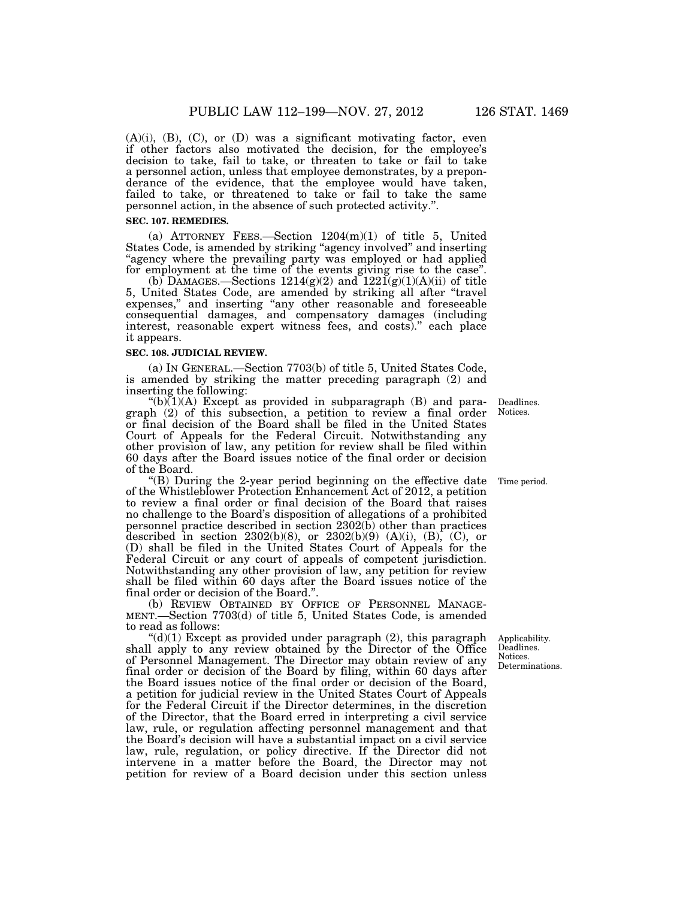$(A)(i)$ ,  $(B)$ ,  $(C)$ , or  $(D)$  was a significant motivating factor, even if other factors also motivated the decision, for the employee's decision to take, fail to take, or threaten to take or fail to take a personnel action, unless that employee demonstrates, by a preponderance of the evidence, that the employee would have taken, failed to take, or threatened to take or fail to take the same personnel action, in the absence of such protected activity.''.

#### **SEC. 107. REMEDIES.**

(a) ATTORNEY FEES.—Section  $1204(m)(1)$  of title 5, United States Code, is amended by striking "agency involved" and inserting agency where the prevailing party was employed or had applied for employment at the time of the events giving rise to the case''.

(b) DAMAGES.—Sections  $1214(g)(2)$  and  $1221(g)(1)(A)(ii)$  of title 5, United States Code, are amended by striking all after ''travel expenses," and inserting "any other reasonable and foreseeable consequential damages, and compensatory damages (including interest, reasonable expert witness fees, and costs).'' each place it appears.

#### **SEC. 108. JUDICIAL REVIEW.**

(a) IN GENERAL.—Section 7703(b) of title 5, United States Code, is amended by striking the matter preceding paragraph (2) and inserting the following:

" $(b)(1)(A)$  Except as provided in subparagraph  $(B)$  and paragraph (2) of this subsection, a petition to review a final order or final decision of the Board shall be filed in the United States Court of Appeals for the Federal Circuit. Notwithstanding any other provision of law, any petition for review shall be filed within 60 days after the Board issues notice of the final order or decision of the Board.

''(B) During the 2-year period beginning on the effective date of the Whistleblower Protection Enhancement Act of 2012, a petition to review a final order or final decision of the Board that raises no challenge to the Board's disposition of allegations of a prohibited personnel practice described in section 2302(b) other than practices described in section  $2302(b)(8)$ , or  $2302(b)(9)$  (A)(i), (B), (C), or (D) shall be filed in the United States Court of Appeals for the Federal Circuit or any court of appeals of competent jurisdiction. Notwithstanding any other provision of law, any petition for review shall be filed within 60 days after the Board issues notice of the final order or decision of the Board.'

(b) REVIEW OBTAINED BY OFFICE OF PERSONNEL MANAGE- MENT.—Section 7703(d) of title 5, United States Code, is amended to read as follows:

" $(d)(1)$  Except as provided under paragraph  $(2)$ , this paragraph shall apply to any review obtained by the Director of the Office of Personnel Management. The Director may obtain review of any final order or decision of the Board by filing, within 60 days after the Board issues notice of the final order or decision of the Board, a petition for judicial review in the United States Court of Appeals for the Federal Circuit if the Director determines, in the discretion of the Director, that the Board erred in interpreting a civil service law, rule, or regulation affecting personnel management and that the Board's decision will have a substantial impact on a civil service law, rule, regulation, or policy directive. If the Director did not intervene in a matter before the Board, the Director may not petition for review of a Board decision under this section unless

Deadlines. Notices.

Time period.

Applicability. Deadlines. Notices. Determinations.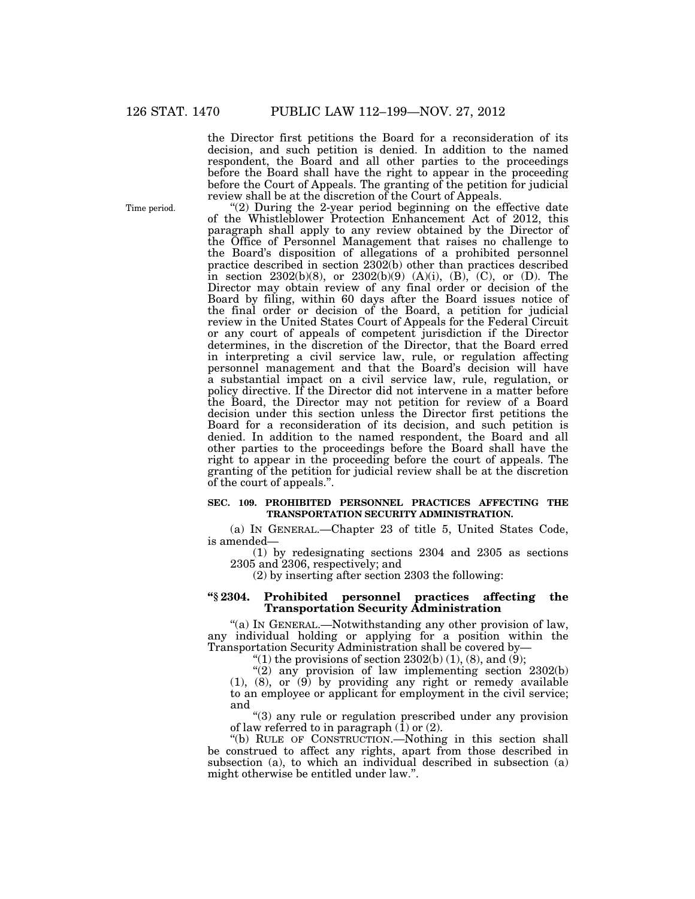the Director first petitions the Board for a reconsideration of its decision, and such petition is denied. In addition to the named respondent, the Board and all other parties to the proceedings before the Board shall have the right to appear in the proceeding before the Court of Appeals. The granting of the petition for judicial review shall be at the discretion of the Court of Appeals.

"(2) During the 2-year period beginning on the effective date of the Whistleblower Protection Enhancement Act of 2012, this paragraph shall apply to any review obtained by the Director of the Office of Personnel Management that raises no challenge to the Board's disposition of allegations of a prohibited personnel practice described in section 2302(b) other than practices described in section 2302(b)(8), or 2302(b)(9) (A)(i), (B), (C), or (D). The Director may obtain review of any final order or decision of the Board by filing, within 60 days after the Board issues notice of the final order or decision of the Board, a petition for judicial review in the United States Court of Appeals for the Federal Circuit or any court of appeals of competent jurisdiction if the Director determines, in the discretion of the Director, that the Board erred in interpreting a civil service law, rule, or regulation affecting personnel management and that the Board's decision will have a substantial impact on a civil service law, rule, regulation, or policy directive. If the Director did not intervene in a matter before the Board, the Director may not petition for review of a Board decision under this section unless the Director first petitions the Board for a reconsideration of its decision, and such petition is denied. In addition to the named respondent, the Board and all other parties to the proceedings before the Board shall have the right to appear in the proceeding before the court of appeals. The granting of the petition for judicial review shall be at the discretion of the court of appeals.''.

## **SEC. 109. PROHIBITED PERSONNEL PRACTICES AFFECTING THE TRANSPORTATION SECURITY ADMINISTRATION.**

(a) IN GENERAL.—Chapter 23 of title 5, United States Code, is amended—

(1) by redesignating sections 2304 and 2305 as sections 2305 and 2306, respectively; and

(2) by inserting after section 2303 the following:

## **''§ 2304. Prohibited personnel practices affecting the Transportation Security Administration**

''(a) IN GENERAL.—Notwithstanding any other provision of law, any individual holding or applying for a position within the Transportation Security Administration shall be covered by—

"(1) the provisions of section  $2302(b)$  (1), (8), and (9);

" $(2)$  any provision of law implementing section  $2302(b)$ (1), (8), or (9) by providing any right or remedy available to an employee or applicant for employment in the civil service; and

''(3) any rule or regulation prescribed under any provision of law referred to in paragraph (1) or (2).

''(b) RULE OF CONSTRUCTION.—Nothing in this section shall be construed to affect any rights, apart from those described in subsection (a), to which an individual described in subsection (a) might otherwise be entitled under law.''.

Time period.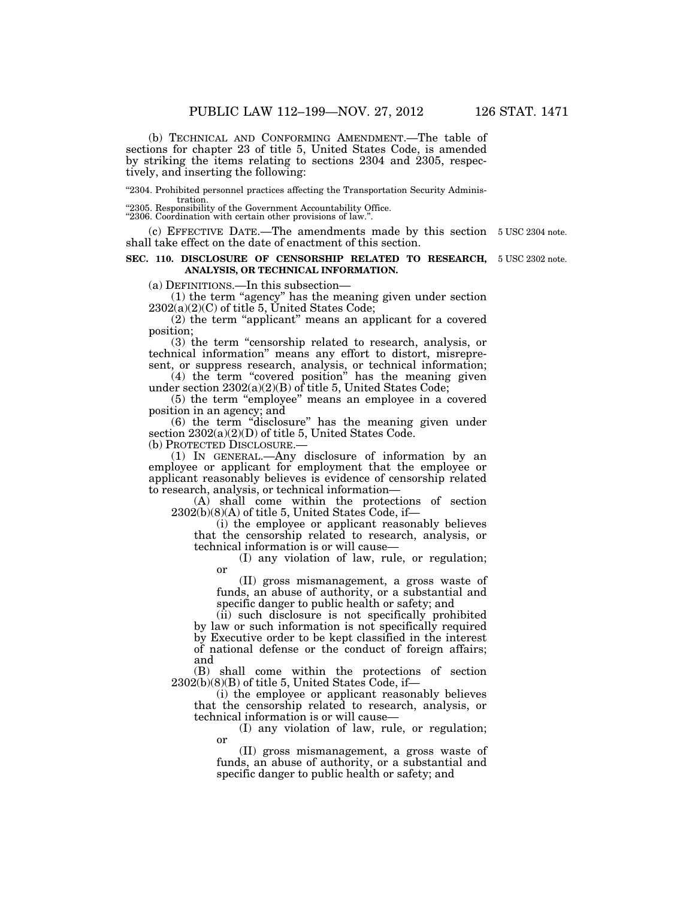(b) TECHNICAL AND CONFORMING AMENDMENT.—The table of sections for chapter 23 of title 5, United States Code, is amended by striking the items relating to sections 2304 and 2305, respectively, and inserting the following:

''2304. Prohibited personnel practices affecting the Transportation Security Administration.

"2305. Responsibility of the Government Accountability Office.

''2306. Coordination with certain other provisions of law.''.

(c) EFFECTIVE DATE.—The amendments made by this section 5 USC 2304 note. shall take effect on the date of enactment of this section.

#### **SEC. 110. DISCLOSURE OF CENSORSHIP RELATED TO RESEARCH,** 5 USC 2302 note. **ANALYSIS, OR TECHNICAL INFORMATION.**

(a) DEFINITIONS.—In this subsection—

(1) the term ''agency'' has the meaning given under section  $2302(a)(2)(C)$  of title 5, United States Code;

(2) the term ''applicant'' means an applicant for a covered position;

(3) the term ''censorship related to research, analysis, or technical information'' means any effort to distort, misrepresent, or suppress research, analysis, or technical information;

(4) the term ''covered position'' has the meaning given under section 2302(a)(2)(B) of title 5, United States Code;

(5) the term ''employee'' means an employee in a covered position in an agency; and

(6) the term ''disclosure'' has the meaning given under section  $2302(a)(2)(D)$  of title 5, United States Code.

(b) PROTECTED DISCLOSURE.—

(1) IN GENERAL.—Any disclosure of information by an employee or applicant for employment that the employee or applicant reasonably believes is evidence of censorship related to research, analysis, or technical information—

(A) shall come within the protections of section 2302(b)(8)(A) of title 5, United States Code, if—

(i) the employee or applicant reasonably believes that the censorship related to research, analysis, or technical information is or will cause—

(I) any violation of law, rule, or regulation; or

(II) gross mismanagement, a gross waste of funds, an abuse of authority, or a substantial and specific danger to public health or safety; and

(ii) such disclosure is not specifically prohibited by law or such information is not specifically required by Executive order to be kept classified in the interest of national defense or the conduct of foreign affairs; and

(B) shall come within the protections of section 2302(b)(8)(B) of title 5, United States Code, if—

(i) the employee or applicant reasonably believes that the censorship related to research, analysis, or technical information is or will cause—

(I) any violation of law, rule, or regulation; or

(II) gross mismanagement, a gross waste of funds, an abuse of authority, or a substantial and specific danger to public health or safety; and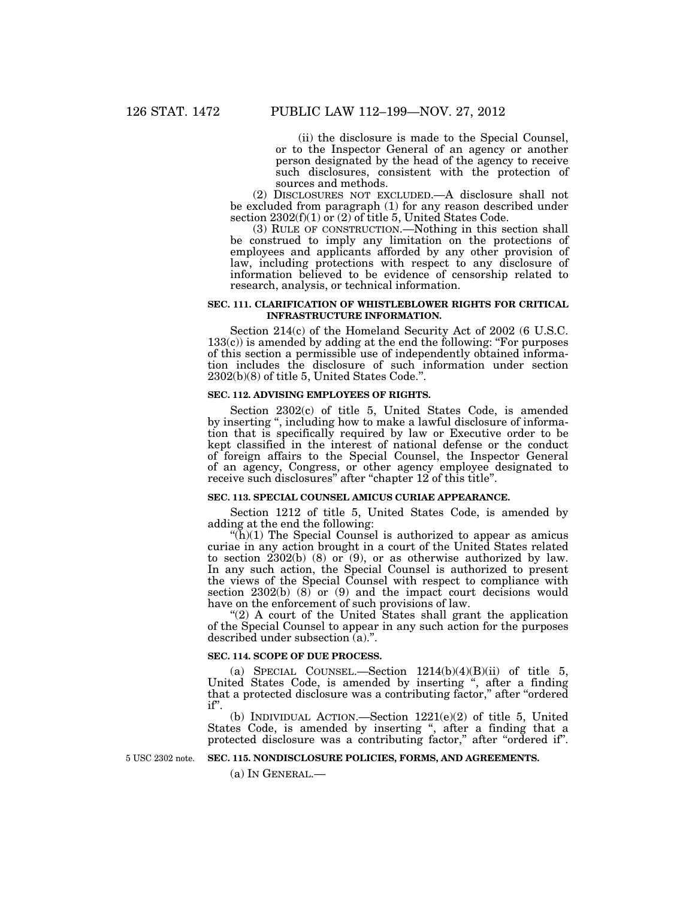(ii) the disclosure is made to the Special Counsel, or to the Inspector General of an agency or another person designated by the head of the agency to receive such disclosures, consistent with the protection of sources and methods.

(2) DISCLOSURES NOT EXCLUDED.—A disclosure shall not be excluded from paragraph (1) for any reason described under section 2302(f)(1) or (2) of title 5, United States Code.

(3) RULE OF CONSTRUCTION.—Nothing in this section shall be construed to imply any limitation on the protections of employees and applicants afforded by any other provision of law, including protections with respect to any disclosure of information believed to be evidence of censorship related to research, analysis, or technical information.

## **SEC. 111. CLARIFICATION OF WHISTLEBLOWER RIGHTS FOR CRITICAL INFRASTRUCTURE INFORMATION.**

Section 214(c) of the Homeland Security Act of 2002 (6 U.S.C.  $133(c)$ ) is amended by adding at the end the following: "For purposes of this section a permissible use of independently obtained information includes the disclosure of such information under section 2302(b)(8) of title 5, United States Code.''.

#### **SEC. 112. ADVISING EMPLOYEES OF RIGHTS.**

Section 2302(c) of title 5, United States Code, is amended by inserting '', including how to make a lawful disclosure of information that is specifically required by law or Executive order to be kept classified in the interest of national defense or the conduct of foreign affairs to the Special Counsel, the Inspector General of an agency, Congress, or other agency employee designated to receive such disclosures'' after ''chapter 12 of this title''.

#### **SEC. 113. SPECIAL COUNSEL AMICUS CURIAE APPEARANCE.**

Section 1212 of title 5, United States Code, is amended by adding at the end the following:

"( $\bar{h}$ )(1) The Special Counsel is authorized to appear as amicus curiae in any action brought in a court of the United States related to section 2302(b) (8) or (9), or as otherwise authorized by law. In any such action, the Special Counsel is authorized to present the views of the Special Counsel with respect to compliance with section  $2302(b)$  (8) or (9) and the impact court decisions would have on the enforcement of such provisions of law.

" $(2)$  A court of the United States shall grant the application of the Special Counsel to appear in any such action for the purposes described under subsection (a).''.

#### **SEC. 114. SCOPE OF DUE PROCESS.**

(a) SPECIAL COUNSEL.—Section  $1214(b)(4)(B)(ii)$  of title 5, United States Code, is amended by inserting ", after a finding that a protected disclosure was a contributing factor," after "ordered" if''.

(b) INDIVIDUAL ACTION.—Section 1221(e)(2) of title 5, United States Code, is amended by inserting ", after a finding that a protected disclosure was a contributing factor," after "ordered if".

5 USC 2302 note.

**SEC. 115. NONDISCLOSURE POLICIES, FORMS, AND AGREEMENTS.** 

(a) IN GENERAL.—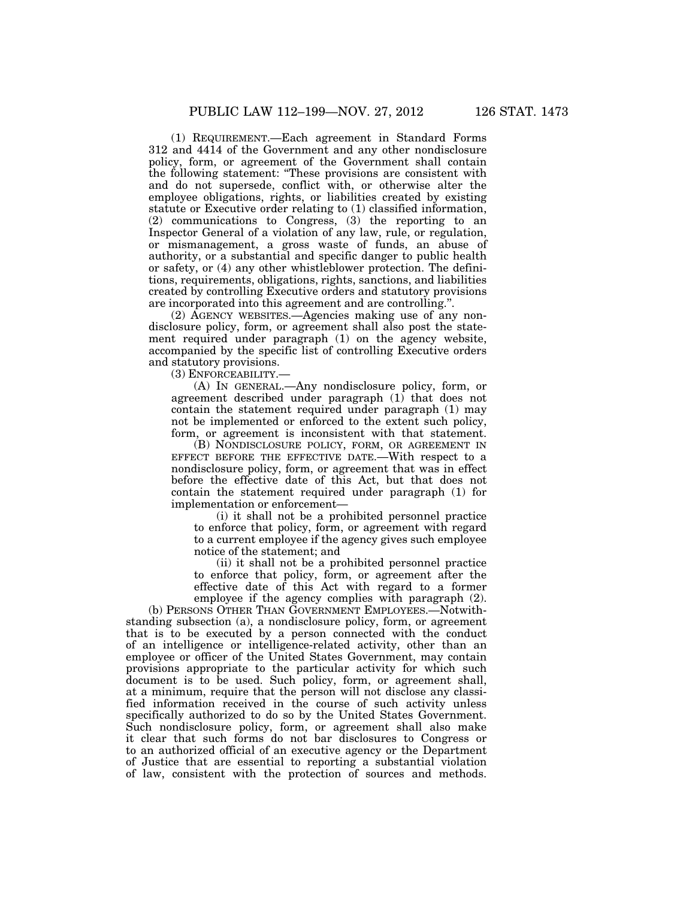(1) REQUIREMENT.—Each agreement in Standard Forms 312 and 4414 of the Government and any other nondisclosure policy, form, or agreement of the Government shall contain the following statement: ''These provisions are consistent with and do not supersede, conflict with, or otherwise alter the employee obligations, rights, or liabilities created by existing statute or Executive order relating to (1) classified information, (2) communications to Congress, (3) the reporting to an Inspector General of a violation of any law, rule, or regulation, or mismanagement, a gross waste of funds, an abuse of authority, or a substantial and specific danger to public health or safety, or (4) any other whistleblower protection. The definitions, requirements, obligations, rights, sanctions, and liabilities created by controlling Executive orders and statutory provisions are incorporated into this agreement and are controlling.''.

(2) AGENCY WEBSITES.—Agencies making use of any nondisclosure policy, form, or agreement shall also post the statement required under paragraph (1) on the agency website, accompanied by the specific list of controlling Executive orders and statutory provisions.

(3) ENFORCEABILITY.—

(A) IN GENERAL.—Any nondisclosure policy, form, or agreement described under paragraph (1) that does not contain the statement required under paragraph (1) may not be implemented or enforced to the extent such policy, form, or agreement is inconsistent with that statement.

(B) NONDISCLOSURE POLICY, FORM, OR AGREEMENT IN EFFECT BEFORE THE EFFECTIVE DATE.—With respect to a nondisclosure policy, form, or agreement that was in effect before the effective date of this Act, but that does not contain the statement required under paragraph (1) for implementation or enforcement—

(i) it shall not be a prohibited personnel practice to enforce that policy, form, or agreement with regard to a current employee if the agency gives such employee notice of the statement; and

(ii) it shall not be a prohibited personnel practice to enforce that policy, form, or agreement after the effective date of this Act with regard to a former employee if the agency complies with paragraph (2).

(b) PERSONS OTHER THAN GOVERNMENT EMPLOYEES.—Notwithstanding subsection (a), a nondisclosure policy, form, or agreement that is to be executed by a person connected with the conduct of an intelligence or intelligence-related activity, other than an employee or officer of the United States Government, may contain provisions appropriate to the particular activity for which such document is to be used. Such policy, form, or agreement shall, at a minimum, require that the person will not disclose any classified information received in the course of such activity unless specifically authorized to do so by the United States Government. Such nondisclosure policy, form, or agreement shall also make it clear that such forms do not bar disclosures to Congress or to an authorized official of an executive agency or the Department of Justice that are essential to reporting a substantial violation of law, consistent with the protection of sources and methods.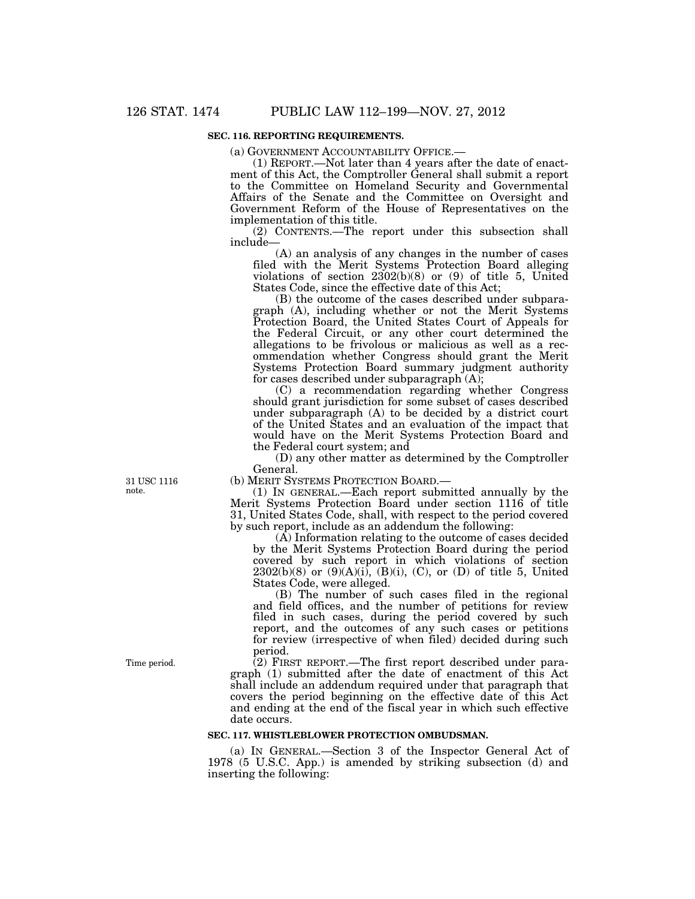## **SEC. 116. REPORTING REQUIREMENTS.**

(a) GOVERNMENT ACCOUNTABILITY OFFICE.—

(1) REPORT.—Not later than 4 years after the date of enactment of this Act, the Comptroller General shall submit a report to the Committee on Homeland Security and Governmental Affairs of the Senate and the Committee on Oversight and Government Reform of the House of Representatives on the implementation of this title.

(2) CONTENTS.—The report under this subsection shall include—

(A) an analysis of any changes in the number of cases filed with the Merit Systems Protection Board alleging violations of section  $2302(b)(8)$  or (9) of title 5, United States Code, since the effective date of this Act;

(B) the outcome of the cases described under subparagraph (A), including whether or not the Merit Systems Protection Board, the United States Court of Appeals for the Federal Circuit, or any other court determined the allegations to be frivolous or malicious as well as a recommendation whether Congress should grant the Merit Systems Protection Board summary judgment authority for cases described under subparagraph (A);

(C) a recommendation regarding whether Congress should grant jurisdiction for some subset of cases described under subparagraph (A) to be decided by a district court of the United States and an evaluation of the impact that would have on the Merit Systems Protection Board and the Federal court system; and

(D) any other matter as determined by the Comptroller General.

(b) MERIT SYSTEMS PROTECTION BOARD.—

(1) IN GENERAL.—Each report submitted annually by the Merit Systems Protection Board under section 1116 of title 31, United States Code, shall, with respect to the period covered by such report, include as an addendum the following:

(A) Information relating to the outcome of cases decided by the Merit Systems Protection Board during the period covered by such report in which violations of section  $2302(b)(8)$  or  $(9)(A)(i)$ ,  $(B)(i)$ ,  $(C)$ , or  $(D)$  of title 5, United States Code, were alleged.

(B) The number of such cases filed in the regional and field offices, and the number of petitions for review filed in such cases, during the period covered by such report, and the outcomes of any such cases or petitions for review (irrespective of when filed) decided during such period.

(2) FIRST REPORT.—The first report described under paragraph (1) submitted after the date of enactment of this Act shall include an addendum required under that paragraph that covers the period beginning on the effective date of this Act and ending at the end of the fiscal year in which such effective date occurs.

#### **SEC. 117. WHISTLEBLOWER PROTECTION OMBUDSMAN.**

(a) IN GENERAL.—Section 3 of the Inspector General Act of 1978 (5 U.S.C. App.) is amended by striking subsection (d) and inserting the following:

31 USC 1116 note.

Time period.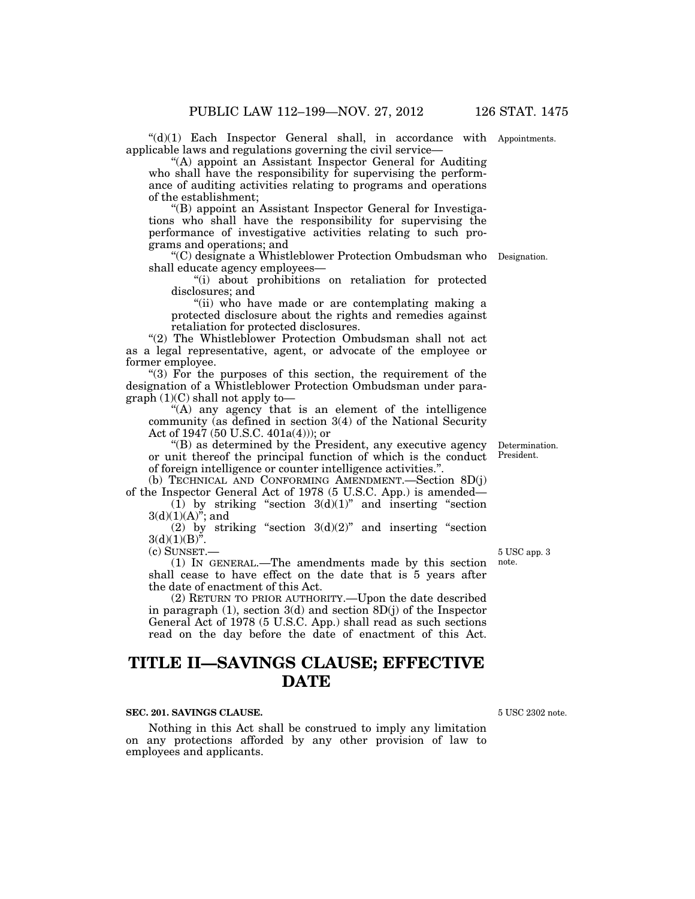$((d)(1)$  Each Inspector General shall, in accordance with Appointments. applicable laws and regulations governing the civil service—

''(A) appoint an Assistant Inspector General for Auditing who shall have the responsibility for supervising the performance of auditing activities relating to programs and operations of the establishment;

''(B) appoint an Assistant Inspector General for Investigations who shall have the responsibility for supervising the performance of investigative activities relating to such programs and operations; and

''(C) designate a Whistleblower Protection Ombudsman who Designation. shall educate agency employees—

''(i) about prohibitions on retaliation for protected disclosures; and

"(ii) who have made or are contemplating making a protected disclosure about the rights and remedies against retaliation for protected disclosures.

''(2) The Whistleblower Protection Ombudsman shall not act as a legal representative, agent, or advocate of the employee or former employee.

"(3) For the purposes of this section, the requirement of the designation of a Whistleblower Protection Ombudsman under para $graph (1)(C) shall not apply to—$ 

"(A) any agency that is an element of the intelligence" community (as defined in section 3(4) of the National Security Act of 1947 (50 U.S.C. 401a(4))); or

''(B) as determined by the President, any executive agency or unit thereof the principal function of which is the conduct President. of foreign intelligence or counter intelligence activities.''.

(b) TECHNICAL AND CONFORMING AMENDMENT.—Section 8D(j) of the Inspector General Act of 1978 (5 U.S.C. App.) is amended—

 $(1)$  by striking "section  $3(d)(1)$ " and inserting "section  $3(d)(1)(A)$ "; and

(2) by striking "section  $3(d)(2)$ " and inserting "section  $3(d)(1)(B)^{n}$ .

(c) SUNSET.—

(1) IN GENERAL.—The amendments made by this section shall cease to have effect on the date that is 5 years after the date of enactment of this Act.

(2) RETURN TO PRIOR AUTHORITY.—Upon the date described in paragraph  $(1)$ , section  $3(d)$  and section  $8D(j)$  of the Inspector General Act of 1978 (5 U.S.C. App.) shall read as such sections read on the day before the date of enactment of this Act.

# **TITLE II—SAVINGS CLAUSE; EFFECTIVE DATE**

#### **SEC. 201. SAVINGS CLAUSE.**

Nothing in this Act shall be construed to imply any limitation on any protections afforded by any other provision of law to employees and applicants.

5 USC 2302 note.

5 USC app. 3

note.

Determination.